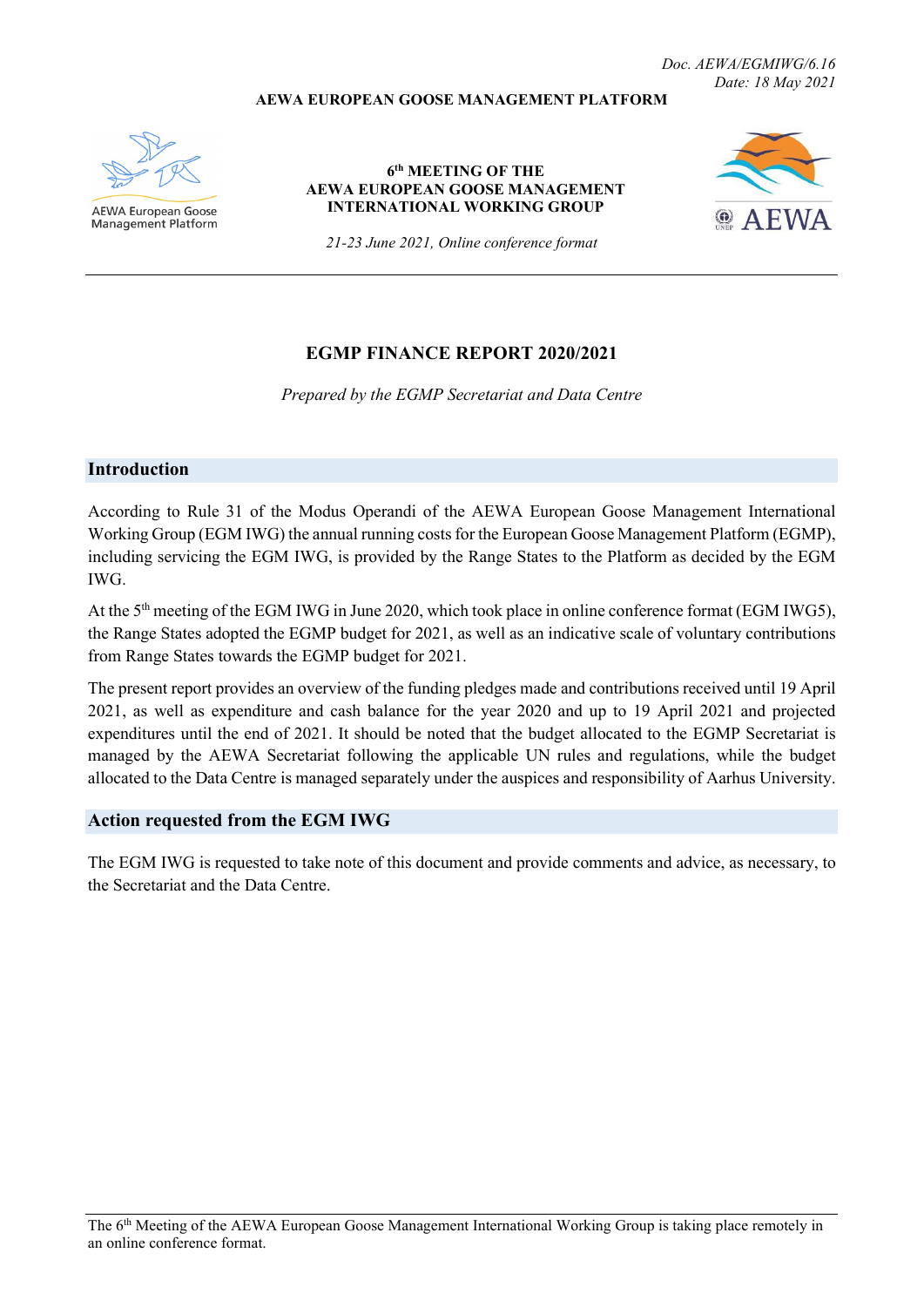#### **AEWA EUROPEAN GOOSE MANAGEMENT PLATFORM**



**AEWA European Goose Management Platform** 

#### **6th MEETING OF THE AEWA EUROPEAN GOOSE MANAGEMENT INTERNATIONAL WORKING GROUP**



*21-23 June 2021, Online conference format*

## **EGMP FINANCE REPORT 2020/2021**

*Prepared by the EGMP Secretariat and Data Centre*

#### **Introduction**

According to Rule 31 of the Modus Operandi of the AEWA European Goose Management International Working Group (EGM IWG) the annual running costs for the European Goose Management Platform (EGMP), including servicing the EGM IWG, is provided by the Range States to the Platform as decided by the EGM IWG.

At the 5<sup>th</sup> meeting of the EGM IWG in June 2020, which took place in online conference format (EGM IWG5), the Range States adopted the EGMP budget for 2021, as well as an indicative scale of voluntary contributions from Range States towards the EGMP budget for 2021.

The present report provides an overview of the funding pledges made and contributions received until 19 April 2021, as well as expenditure and cash balance for the year 2020 and up to 19 April 2021 and projected expenditures until the end of 2021. It should be noted that the budget allocated to the EGMP Secretariat is managed by the AEWA Secretariat following the applicable UN rules and regulations, while the budget allocated to the Data Centre is managed separately under the auspices and responsibility of Aarhus University.

#### **Action requested from the EGM IWG**

The EGM IWG is requested to take note of this document and provide comments and advice, as necessary, to the Secretariat and the Data Centre.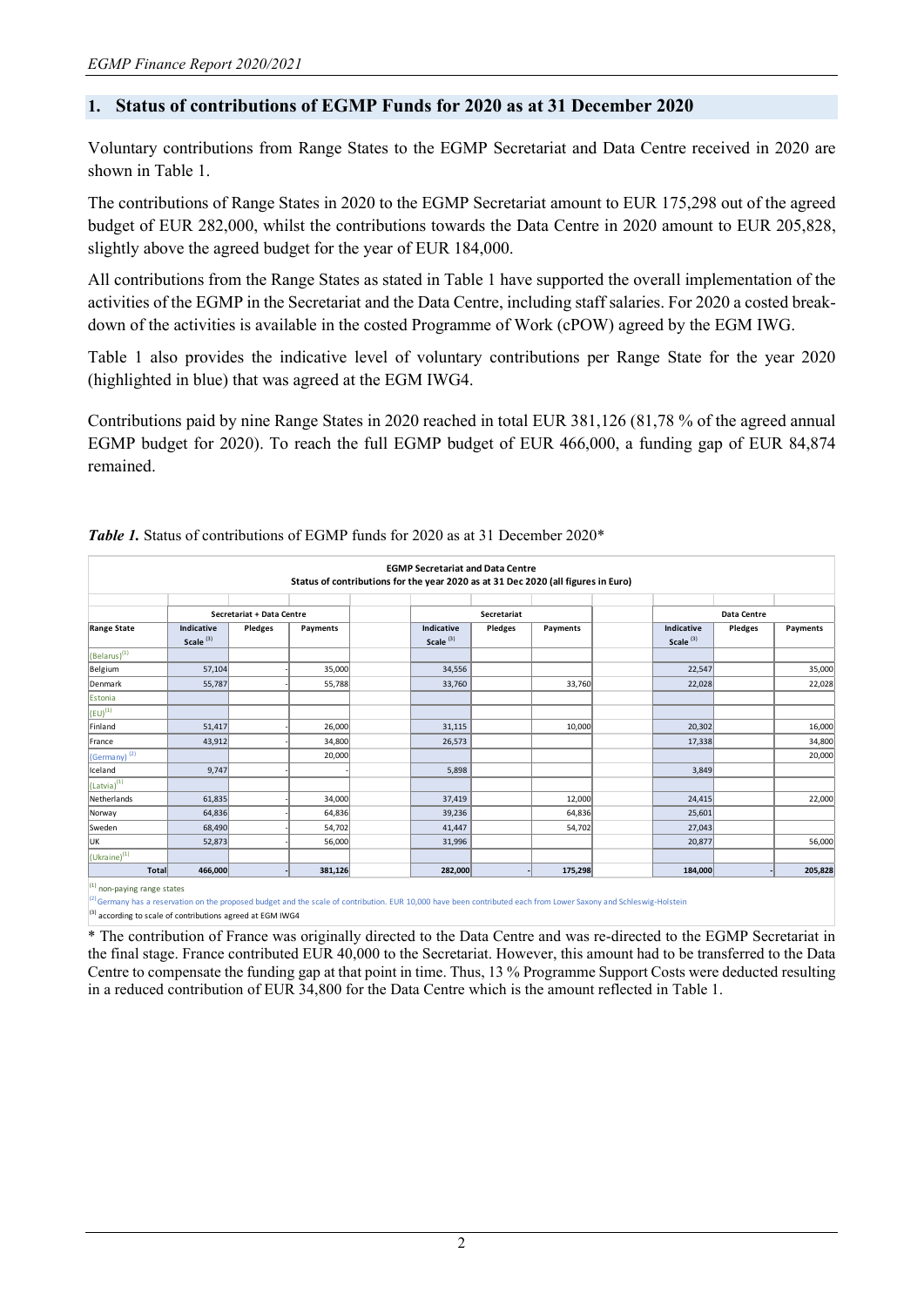## **1. Status of contributions of EGMP Funds for 2020 as at 31 December 2020**

Voluntary contributions from Range States to the EGMP Secretariat and Data Centre received in 2020 are shown in Table 1.

The contributions of Range States in 2020 to the EGMP Secretariat amount to EUR 175,298 out of the agreed budget of EUR 282,000, whilst the contributions towards the Data Centre in 2020 amount to EUR 205,828, slightly above the agreed budget for the year of EUR 184,000.

All contributions from the Range States as stated in Table 1 have supported the overall implementation of the activities of the EGMP in the Secretariat and the Data Centre, including staff salaries. For 2020 a costed breakdown of the activities is available in the costed Programme of Work (cPOW) agreed by the EGM IWG.

Table 1 also provides the indicative level of voluntary contributions per Range State for the year 2020 (highlighted in blue) that was agreed at the EGM IWG4.

Contributions paid by nine Range States in 2020 reached in total EUR 381,126 (81,78 % of the agreed annual EGMP budget for 2020). To reach the full EGMP budget of EUR 466,000, a funding gap of EUR 84,874 remained.

| <b>EGMP Secretariat and Data Centre</b><br>Status of contributions for the year 2020 as at 31 Dec 2020 (all figures in Euro) |                                    |                           |          |                                           |             |          |                                    |             |          |  |
|------------------------------------------------------------------------------------------------------------------------------|------------------------------------|---------------------------|----------|-------------------------------------------|-------------|----------|------------------------------------|-------------|----------|--|
|                                                                                                                              |                                    |                           |          |                                           |             |          |                                    |             |          |  |
|                                                                                                                              |                                    | Secretariat + Data Centre |          |                                           | Secretariat |          |                                    | Data Centre |          |  |
| <b>Range State</b>                                                                                                           | Indicative<br>Scale <sup>(3)</sup> | Pledges                   | Payments | <b>Indicative</b><br>Scale <sup>(3)</sup> | Pledges     | Payments | Indicative<br>Scale <sup>(3)</sup> | Pledges     | Payments |  |
| $\frac{1}{2}$ (Belarus) <sup>(1)</sup>                                                                                       |                                    |                           |          |                                           |             |          |                                    |             |          |  |
| Belgium                                                                                                                      | 57,104                             |                           | 35,000   | 34,556                                    |             |          | 22,547                             |             | 35,000   |  |
| Denmark                                                                                                                      | 55,787                             |                           | 55,788   | 33,760                                    |             | 33,760   | 22,028                             |             | 22,028   |  |
| Estonia                                                                                                                      |                                    |                           |          |                                           |             |          |                                    |             |          |  |
| $\left(\text{EU}\right)^{(1)}$                                                                                               |                                    |                           |          |                                           |             |          |                                    |             |          |  |
| Finland                                                                                                                      | 51,417                             |                           | 26,000   | 31,115                                    |             | 10,000   | 20,302                             |             | 16,000   |  |
| France                                                                                                                       | 43,912                             |                           | 34,800   | 26,573                                    |             |          | 17,338                             |             | 34,800   |  |
| (Germany) <sup>(2)</sup>                                                                                                     |                                    |                           | 20,000   |                                           |             |          |                                    |             | 20,000   |  |
| Iceland                                                                                                                      | 9,747                              |                           |          | 5,898                                     |             |          | 3,849                              |             |          |  |
| $(Latvia)^{(1)}$                                                                                                             |                                    |                           |          |                                           |             |          |                                    |             |          |  |
| Netherlands                                                                                                                  | 61,835                             |                           | 34,000   | 37,419                                    |             | 12,000   | 24,415                             |             | 22,000   |  |
| Norway                                                                                                                       | 64,836                             |                           | 64,836   | 39,236                                    |             | 64,836   | 25,601                             |             |          |  |
| Sweden                                                                                                                       | 68,490                             |                           | 54,702   | 41,447                                    |             | 54,702   | 27,043                             |             |          |  |
| UK                                                                                                                           | 52,873                             |                           | 56,000   | 31,996                                    |             |          | 20,877                             |             | 56,000   |  |
| $(Uk^{\text{raine}})^{(1)}$                                                                                                  |                                    |                           |          |                                           |             |          |                                    |             |          |  |
| Total                                                                                                                        | 466,000                            |                           | 381,126  | 282,000                                   |             | 175,298  | 184,000                            |             | 205,828  |  |

#### Table 1. Status of contributions of EGMP funds for 2020 as at 31 December 2020\*

non-paying range states

<sup>)</sup> Germany has a reservation on the proposed budget and the scale of contribution. EUR 10,000 have been contributed each from Lower Saxony and Schleswig-Holstein

(3) according to scale of contributions agreed at EGM IWG4

\* The contribution of France was originally directed to the Data Centre and was re-directed to the EGMP Secretariat in the final stage. France contributed EUR 40,000 to the Secretariat. However, this amount had to be transferred to the Data Centre to compensate the funding gap at that point in time. Thus, 13 % Programme Support Costs were deducted resulting in a reduced contribution of EUR 34,800 for the Data Centre which is the amount reflected in Table 1.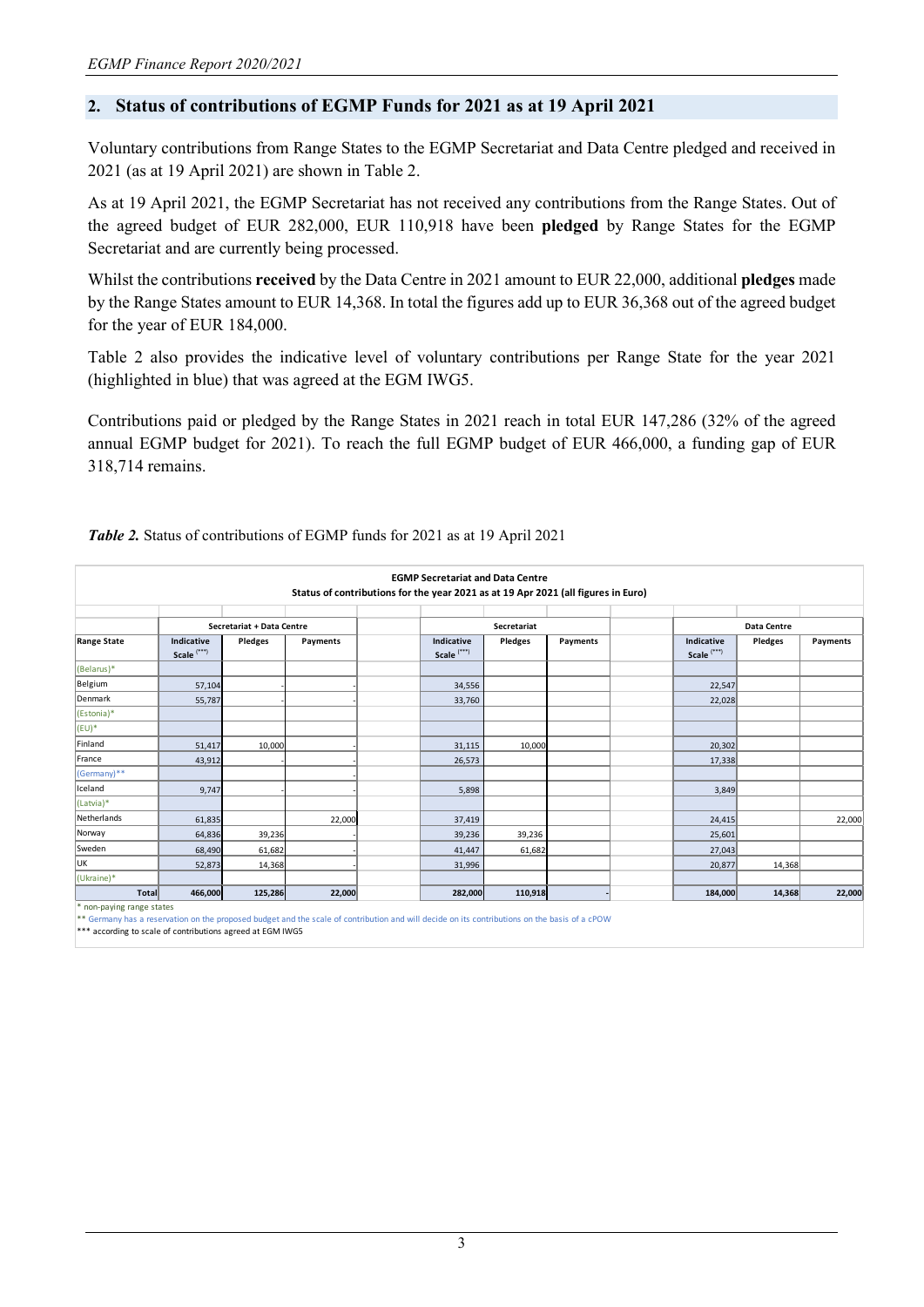## **2. Status of contributions of EGMP Funds for 2021 as at 19 April 2021**

Voluntary contributions from Range States to the EGMP Secretariat and Data Centre pledged and received in 2021 (as at 19 April 2021) are shown in Table 2.

As at 19 April 2021, the EGMP Secretariat has not received any contributions from the Range States. Out of the agreed budget of EUR 282,000, EUR 110,918 have been **pledged** by Range States for the EGMP Secretariat and are currently being processed.

Whilst the contributions **received** by the Data Centre in 2021 amount to EUR 22,000, additional **pledges** made by the Range States amount to EUR 14,368. In total the figures add up to EUR 36,368 out of the agreed budget for the year of EUR 184,000.

Table 2 also provides the indicative level of voluntary contributions per Range State for the year 2021 (highlighted in blue) that was agreed at the EGM IWG5.

Contributions paid or pledged by the Range States in 2021 reach in total EUR 147,286 (32% of the agreed annual EGMP budget for 2021). To reach the full EGMP budget of EUR 466,000, a funding gap of EUR 318,714 remains.

|                           |                                      |         |          | <b>EGMP Secretariat and Data Centre</b>                                           |             |          |                                      |             |          |  |
|---------------------------|--------------------------------------|---------|----------|-----------------------------------------------------------------------------------|-------------|----------|--------------------------------------|-------------|----------|--|
|                           |                                      |         |          | Status of contributions for the year 2021 as at 19 Apr 2021 (all figures in Euro) |             |          |                                      |             |          |  |
|                           | Secretariat + Data Centre            |         |          |                                                                                   | Secretariat |          |                                      | Data Centre |          |  |
| <b>Range State</b>        | Indicative<br>Scale <sup>(***)</sup> | Pledges | Payments | Indicative<br>Scale <sup>(***)</sup>                                              | Pledges     | Payments | Indicative<br>Scale <sup>(***)</sup> | Pledges     | Payments |  |
| (Belarus)*                |                                      |         |          |                                                                                   |             |          |                                      |             |          |  |
| Belgium                   | 57,104                               |         |          | 34,556                                                                            |             |          | 22,547                               |             |          |  |
| Denmark                   | 55,787                               |         |          | 33,760                                                                            |             |          | 22,028                               |             |          |  |
| (Estonia)*                |                                      |         |          |                                                                                   |             |          |                                      |             |          |  |
| $(EU)^*$                  |                                      |         |          |                                                                                   |             |          |                                      |             |          |  |
| Finland                   | 51,417                               | 10,000  |          | 31,115                                                                            | 10,000      |          | 20,302                               |             |          |  |
| France                    | 43,912                               |         |          | 26,573                                                                            |             |          | 17,338                               |             |          |  |
| (Germany)**               |                                      |         |          |                                                                                   |             |          |                                      |             |          |  |
| Iceland                   | 9,747                                |         |          | 5,898                                                                             |             |          | 3,849                                |             |          |  |
| (Latvia)*                 |                                      |         |          |                                                                                   |             |          |                                      |             |          |  |
| Netherlands               | 61,835                               |         | 22,000   | 37,419                                                                            |             |          | 24,415                               |             | 22,000   |  |
| Norway                    | 64,836                               | 39,236  |          | 39,236                                                                            | 39,236      |          | 25,601                               |             |          |  |
| Sweden                    | 68,490                               | 61,682  |          | 41,447                                                                            | 61,682      |          | 27,043                               |             |          |  |
| UK                        | 52,873                               | 14,368  |          | 31,996                                                                            |             |          | 20,877                               | 14,368      |          |  |
| (Ukraine)*                |                                      |         |          |                                                                                   |             |          |                                      |             |          |  |
| Total                     | 466,000                              | 125,286 | 22,000   | 282,000                                                                           | 110,918     |          | 184,000                              | 14,368      | 22,000   |  |
| * non-paying range states |                                      |         |          |                                                                                   |             |          |                                      |             |          |  |

*Table 2.* Status of contributions of EGMP funds for 2021 as at 19 April 2021

any has a reservation on the proposed budget and the scale of contribution and will decide on its contributions on the basis of a cPOW

\*\*\* according to scale of contributions agreed at EGM IWG5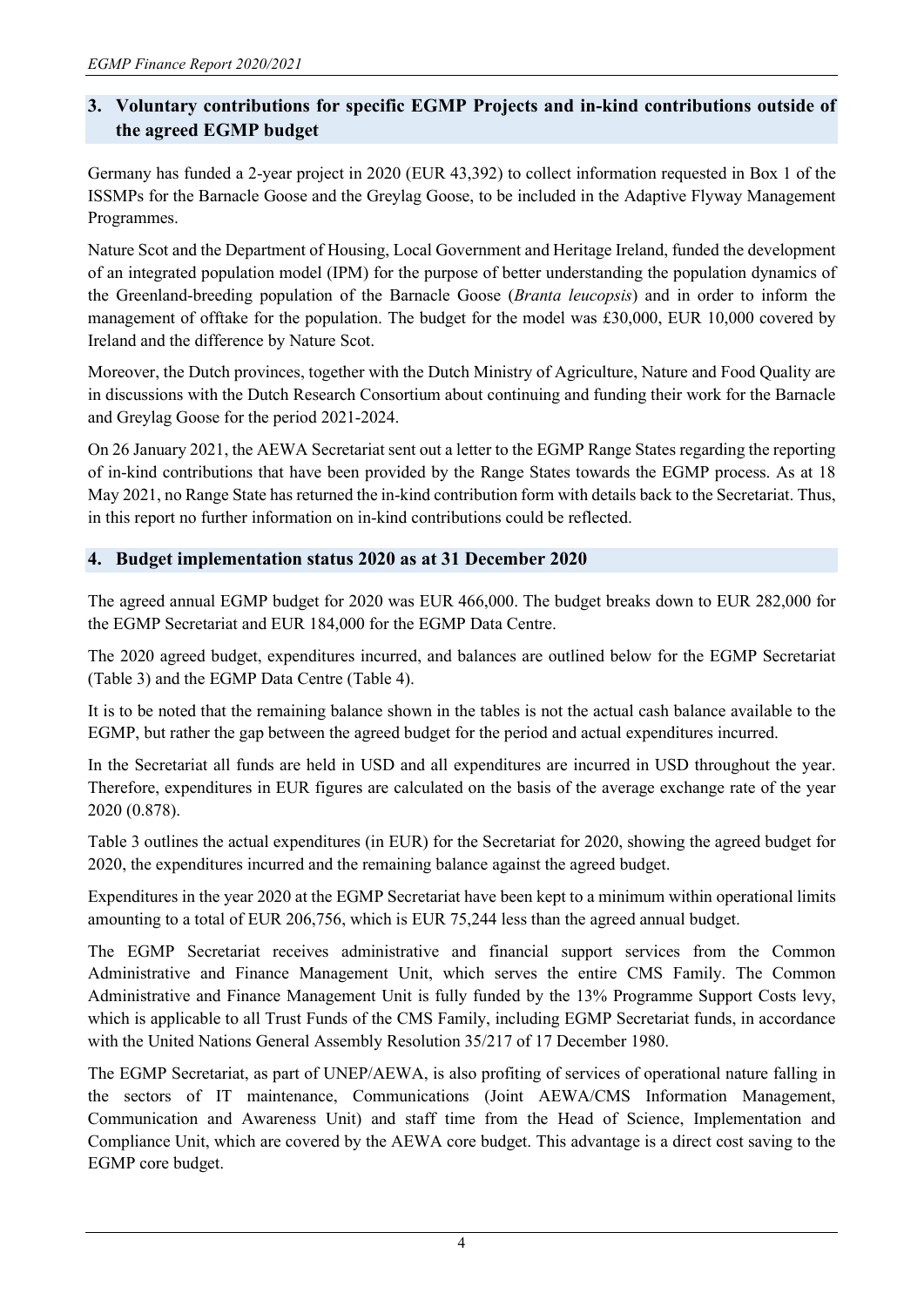# **3. Voluntary contributions for specific EGMP Projects and in-kind contributions outside of the agreed EGMP budget**

Germany has funded a 2-year project in 2020 (EUR 43,392) to collect information requested in Box 1 of the ISSMPs for the Barnacle Goose and the Greylag Goose, to be included in the Adaptive Flyway Management Programmes.

Nature Scot and the Department of Housing, Local Government and Heritage Ireland, funded the development of an integrated population model (IPM) for the purpose of better understanding the population dynamics of the Greenland-breeding population of the Barnacle Goose (*Branta leucopsis*) and in order to inform the management of offtake for the population. The budget for the model was £30,000, EUR 10,000 covered by Ireland and the difference by Nature Scot.

Moreover, the Dutch provinces, together with the Dutch Ministry of Agriculture, Nature and Food Quality are in discussions with the Dutch Research Consortium about continuing and funding their work for the Barnacle and Greylag Goose for the period 2021-2024.

On 26 January 2021, the AEWA Secretariat sent out a letter to the EGMP Range States regarding the reporting of in-kind contributions that have been provided by the Range States towards the EGMP process. As at 18 May 2021, no Range State has returned the in-kind contribution form with details back to the Secretariat. Thus, in this report no further information on in-kind contributions could be reflected.

# **4. Budget implementation status 2020 as at 31 December 2020**

The agreed annual EGMP budget for 2020 was EUR 466,000. The budget breaks down to EUR 282,000 for the EGMP Secretariat and EUR 184,000 for the EGMP Data Centre.

The 2020 agreed budget, expenditures incurred, and balances are outlined below for the EGMP Secretariat (Table 3) and the EGMP Data Centre (Table 4).

It is to be noted that the remaining balance shown in the tables is not the actual cash balance available to the EGMP, but rather the gap between the agreed budget for the period and actual expenditures incurred.

In the Secretariat all funds are held in USD and all expenditures are incurred in USD throughout the year. Therefore, expenditures in EUR figures are calculated on the basis of the average exchange rate of the year 2020 (0.878).

Table 3 outlines the actual expenditures (in EUR) for the Secretariat for 2020, showing the agreed budget for 2020, the expenditures incurred and the remaining balance against the agreed budget.

Expenditures in the year 2020 at the EGMP Secretariat have been kept to a minimum within operational limits amounting to a total of EUR 206,756, which is EUR 75,244 less than the agreed annual budget.

The EGMP Secretariat receives administrative and financial support services from the Common Administrative and Finance Management Unit, which serves the entire CMS Family. The Common Administrative and Finance Management Unit is fully funded by the 13% Programme Support Costs levy, which is applicable to all Trust Funds of the CMS Family, including EGMP Secretariat funds, in accordance with the United Nations General Assembly Resolution 35/217 of 17 December 1980.

The EGMP Secretariat, as part of UNEP/AEWA, is also profiting of services of operational nature falling in the sectors of IT maintenance, Communications (Joint AEWA/CMS Information Management, Communication and Awareness Unit) and staff time from the Head of Science, Implementation and Compliance Unit, which are covered by the AEWA core budget. This advantage is a direct cost saving to the EGMP core budget.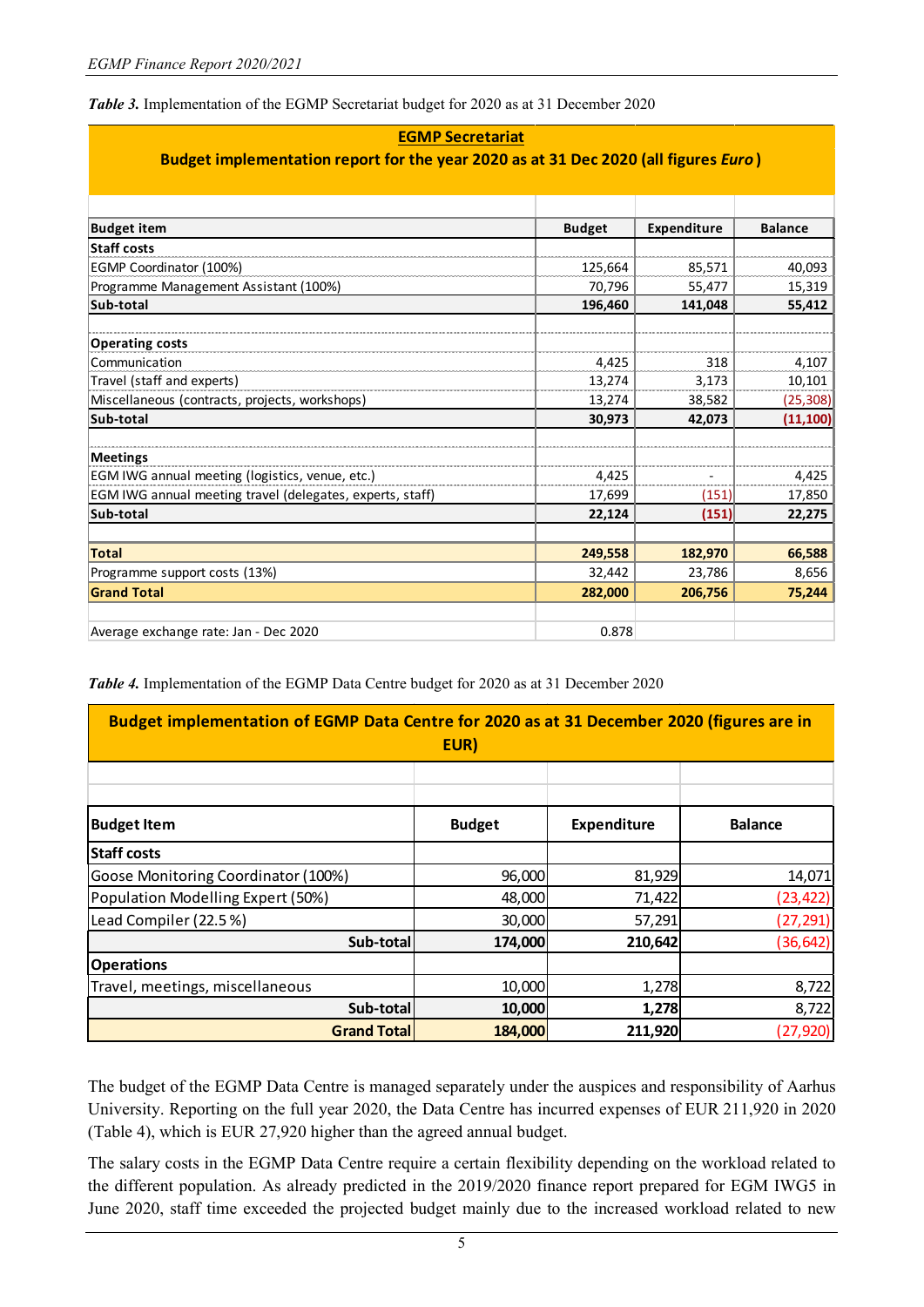*Table 3.* Implementation of the EGMP Secretariat budget for 2020 as at 31 December 2020

| <b>EGMP Secretariat</b>                                                             |               |             |                |  |  |  |  |
|-------------------------------------------------------------------------------------|---------------|-------------|----------------|--|--|--|--|
| Budget implementation report for the year 2020 as at 31 Dec 2020 (all figures Euro) |               |             |                |  |  |  |  |
|                                                                                     |               |             |                |  |  |  |  |
|                                                                                     |               |             |                |  |  |  |  |
| <b>Budget item</b>                                                                  | <b>Budget</b> | Expenditure | <b>Balance</b> |  |  |  |  |
| <b>Staff costs</b>                                                                  |               |             |                |  |  |  |  |
| EGMP Coordinator (100%)                                                             | 125,664       | 85,571      | 40,093         |  |  |  |  |
| Programme Management Assistant (100%)                                               | 70,796        | 55,477      | 15,319         |  |  |  |  |
| Sub-total                                                                           | 196,460       | 141,048     | 55,412         |  |  |  |  |
| <b>Operating costs</b>                                                              |               |             |                |  |  |  |  |
| Communication                                                                       | 4,425         | 318         | 4,107          |  |  |  |  |
| Travel (staff and experts)                                                          | 13,274        | 3,173       | 10,101         |  |  |  |  |
| Miscellaneous (contracts, projects, workshops)                                      | 13,274        | 38,582      | (25, 308)      |  |  |  |  |
| Sub-total                                                                           | 30,973        | 42,073      | (11, 100)      |  |  |  |  |
| <b>Meetings</b>                                                                     |               |             |                |  |  |  |  |
| EGM IWG annual meeting (logistics, venue, etc.)                                     | 4,425         |             | 4,425          |  |  |  |  |
| EGM IWG annual meeting travel (delegates, experts, staff)                           | 17,699        | (151)       | 17,850         |  |  |  |  |
| Sub-total                                                                           | 22,124        | (151)       | 22,275         |  |  |  |  |
|                                                                                     |               |             |                |  |  |  |  |
| <b>Total</b>                                                                        | 249,558       | 182,970     | 66,588         |  |  |  |  |
| Programme support costs (13%)                                                       | 32,442        | 23,786      | 8,656          |  |  |  |  |
| <b>Grand Total</b>                                                                  | 282,000       | 206,756     | 75,244         |  |  |  |  |
|                                                                                     |               |             |                |  |  |  |  |
| Average exchange rate: Jan - Dec 2020                                               | 0.878         |             |                |  |  |  |  |

*Table 4.* Implementation of the EGMP Data Centre budget for 2020 as at 31 December 2020

| Budget implementation of EGMP Data Centre for 2020 as at 31 December 2020 (figures are in<br>EUR) |               |             |                |  |  |  |
|---------------------------------------------------------------------------------------------------|---------------|-------------|----------------|--|--|--|
|                                                                                                   |               |             |                |  |  |  |
| <b>Budget Item</b>                                                                                | <b>Budget</b> | Expenditure | <b>Balance</b> |  |  |  |
| Staff costs                                                                                       |               |             |                |  |  |  |
| Goose Monitoring Coordinator (100%)                                                               | 96,000        | 81,929      | 14,071         |  |  |  |
| Population Modelling Expert (50%)                                                                 | 48,000        | 71,422      | (23, 422)      |  |  |  |
| Lead Compiler (22.5%)                                                                             | 30,000        | 57,291      | (27, 291)      |  |  |  |
| Sub-total                                                                                         | 174,000       | 210,642     | (36, 642)      |  |  |  |
| <b>Operations</b>                                                                                 |               |             |                |  |  |  |
| Travel, meetings, miscellaneous                                                                   | 10,000        | 1,278       | 8,722          |  |  |  |
| Sub-total                                                                                         | 10,000        | 1,278       | 8,722          |  |  |  |
| <b>Grand Total</b>                                                                                | 184,000       | 211,920     | (27, 920)      |  |  |  |

The budget of the EGMP Data Centre is managed separately under the auspices and responsibility of Aarhus University. Reporting on the full year 2020, the Data Centre has incurred expenses of EUR 211,920 in 2020 (Table 4), which is EUR 27,920 higher than the agreed annual budget.

The salary costs in the EGMP Data Centre require a certain flexibility depending on the workload related to the different population. As already predicted in the 2019/2020 finance report prepared for EGM IWG5 in June 2020, staff time exceeded the projected budget mainly due to the increased workload related to new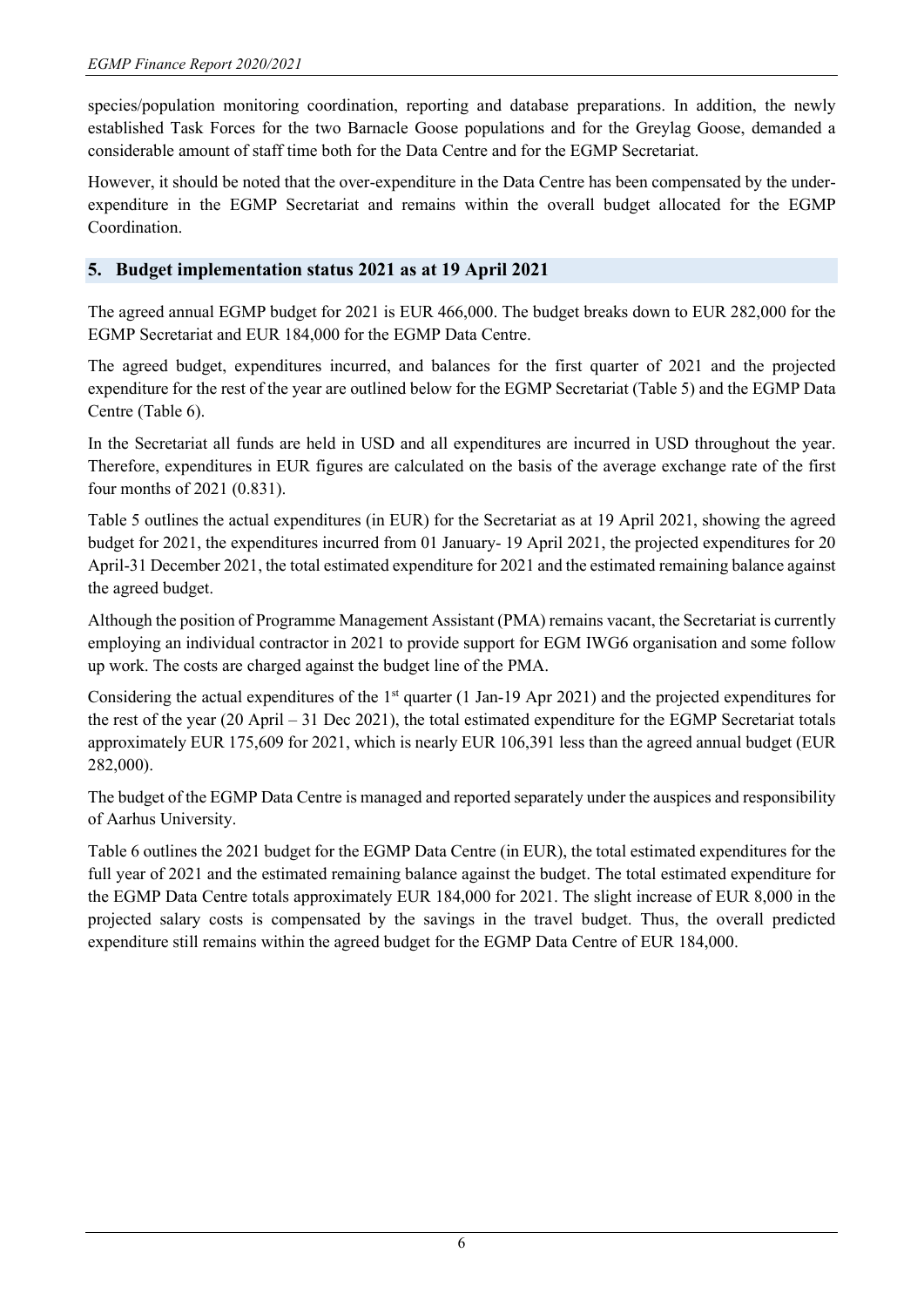species/population monitoring coordination, reporting and database preparations. In addition, the newly established Task Forces for the two Barnacle Goose populations and for the Greylag Goose, demanded a considerable amount of staff time both for the Data Centre and for the EGMP Secretariat.

However, it should be noted that the over-expenditure in the Data Centre has been compensated by the underexpenditure in the EGMP Secretariat and remains within the overall budget allocated for the EGMP Coordination.

## **5. Budget implementation status 2021 as at 19 April 2021**

The agreed annual EGMP budget for 2021 is EUR 466,000. The budget breaks down to EUR 282,000 for the EGMP Secretariat and EUR 184,000 for the EGMP Data Centre.

The agreed budget, expenditures incurred, and balances for the first quarter of 2021 and the projected expenditure for the rest of the year are outlined below for the EGMP Secretariat (Table 5) and the EGMP Data Centre (Table 6).

In the Secretariat all funds are held in USD and all expenditures are incurred in USD throughout the year. Therefore, expenditures in EUR figures are calculated on the basis of the average exchange rate of the first four months of 2021 (0.831).

Table 5 outlines the actual expenditures (in EUR) for the Secretariat as at 19 April 2021, showing the agreed budget for 2021, the expenditures incurred from 01 January- 19 April 2021, the projected expenditures for 20 April-31 December 2021, the total estimated expenditure for 2021 and the estimated remaining balance against the agreed budget.

Although the position of Programme Management Assistant (PMA) remains vacant, the Secretariat is currently employing an individual contractor in 2021 to provide support for EGM IWG6 organisation and some follow up work. The costs are charged against the budget line of the PMA.

Considering the actual expenditures of the 1<sup>st</sup> quarter (1 Jan-19 Apr 2021) and the projected expenditures for the rest of the year (20 April – 31 Dec 2021), the total estimated expenditure for the EGMP Secretariat totals approximately EUR 175,609 for 2021, which is nearly EUR 106,391 less than the agreed annual budget (EUR 282,000).

The budget of the EGMP Data Centre is managed and reported separately under the auspices and responsibility of Aarhus University.

Table 6 outlines the 2021 budget for the EGMP Data Centre (in EUR), the total estimated expenditures for the full year of 2021 and the estimated remaining balance against the budget. The total estimated expenditure for the EGMP Data Centre totals approximately EUR 184,000 for 2021. The slight increase of EUR 8,000 in the projected salary costs is compensated by the savings in the travel budget. Thus, the overall predicted expenditure still remains within the agreed budget for the EGMP Data Centre of EUR 184,000.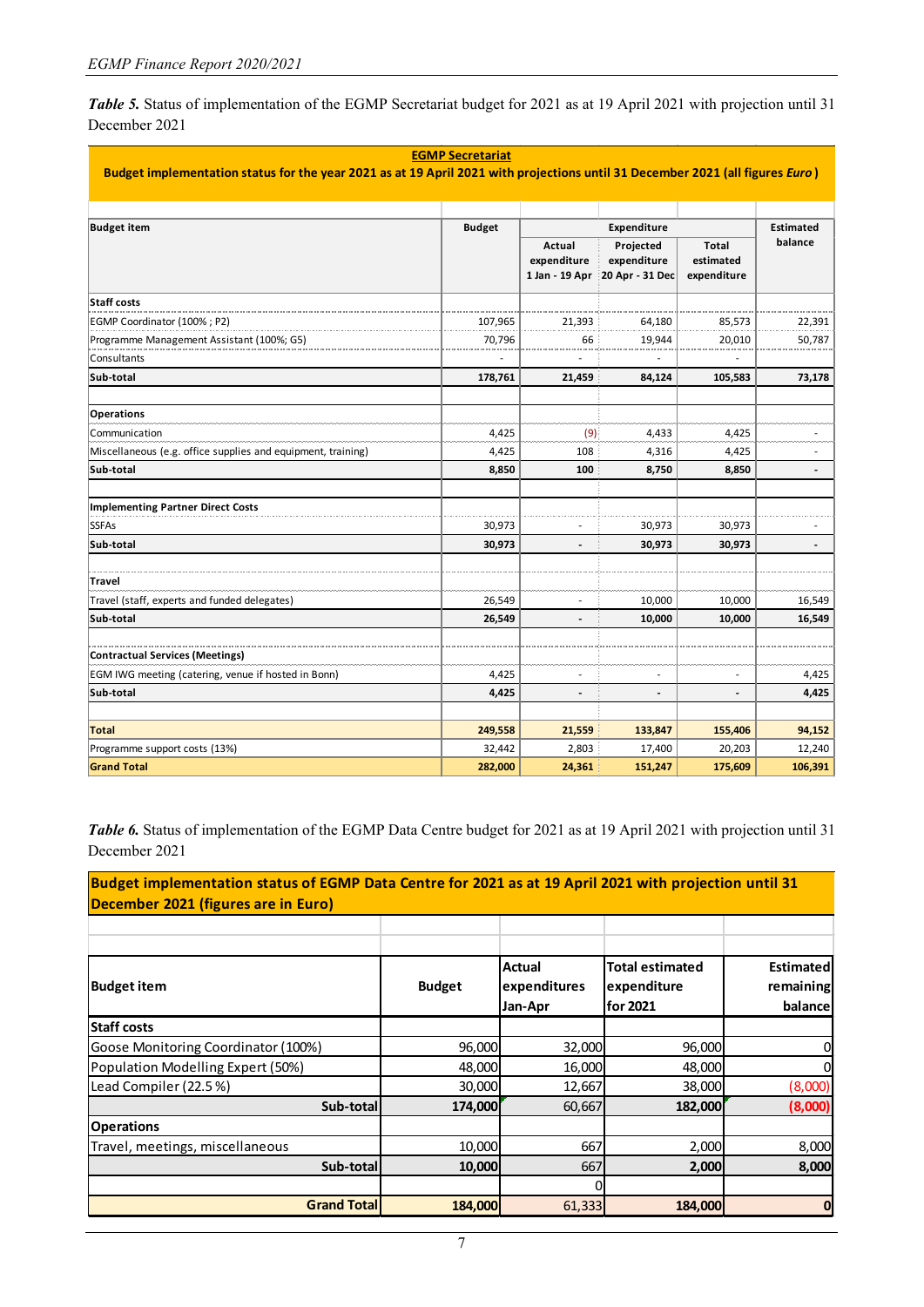*Table 5.* Status of implementation of the EGMP Secretariat budget for 2021 as at 19 April 2021 with projection until 31 December 2021

| <b>EGMP Secretariat</b>                                                                                                       |               |                                         |                                             |                                          |                          |  |
|-------------------------------------------------------------------------------------------------------------------------------|---------------|-----------------------------------------|---------------------------------------------|------------------------------------------|--------------------------|--|
| Budget implementation status for the year 2021 as at 19 April 2021 with projections until 31 December 2021 (all figures Euro) |               |                                         |                                             |                                          |                          |  |
|                                                                                                                               |               |                                         |                                             |                                          |                          |  |
| <b>Budget item</b>                                                                                                            | <b>Budget</b> |                                         | Expenditure                                 |                                          | <b>Estimated</b>         |  |
|                                                                                                                               |               | Actual<br>expenditure<br>1 Jan - 19 Apr | Projected<br>expenditure<br>20 Apr - 31 Dec | <b>Total</b><br>estimated<br>expenditure | balance                  |  |
| Staff costs                                                                                                                   |               |                                         |                                             |                                          |                          |  |
| EGMP Coordinator (100%; P2)                                                                                                   | 107,965       | 21,393                                  | 64,180                                      | 85,573                                   | 22,391                   |  |
| Programme Management Assistant (100%; G5)                                                                                     | 70,796        | 66                                      | 19,944                                      | 20,010                                   | 50,787                   |  |
| Consultants                                                                                                                   |               |                                         |                                             |                                          |                          |  |
| Sub-total                                                                                                                     | 178,761       | 21,459                                  | 84,124                                      | 105,583                                  | 73,178                   |  |
| <b>Operations</b>                                                                                                             |               |                                         |                                             |                                          |                          |  |
| Communication                                                                                                                 | 4,425         | (9)                                     | 4,433                                       | 4,425                                    |                          |  |
| Miscellaneous (e.g. office supplies and equipment, training)                                                                  | 4,425         | 108                                     | 4,316                                       | 4,425                                    |                          |  |
| Sub-total                                                                                                                     | 8,850         | 100                                     | 8,750                                       | 8,850                                    |                          |  |
| Implementing Partner Direct Costs                                                                                             |               |                                         |                                             |                                          |                          |  |
| <b>SSFAs</b>                                                                                                                  | 30,973        |                                         | 30,973                                      | 30,973                                   |                          |  |
| Sub-total                                                                                                                     | 30,973        | $\overline{\phantom{a}}$                | 30,973                                      | 30,973                                   | $\overline{\phantom{a}}$ |  |
| <b>Travel</b>                                                                                                                 |               |                                         |                                             |                                          |                          |  |
| Travel (staff, experts and funded delegates)                                                                                  | 26,549        | ٠                                       | 10,000                                      | 10,000                                   | 16,549                   |  |
| Sub-total                                                                                                                     | 26,549        |                                         | 10,000                                      | 10,000                                   | 16,549                   |  |
| Contractual Services (Meetings)                                                                                               |               |                                         |                                             |                                          |                          |  |
| EGM IWG meeting (catering, venue if hosted in Bonn)                                                                           | 4,425         |                                         |                                             |                                          | 4,425                    |  |
| Sub-total                                                                                                                     | 4,425         |                                         |                                             |                                          | 4,425                    |  |
| <b>Total</b>                                                                                                                  | 249,558       | 21,559                                  | 133,847                                     | 155,406                                  | 94,152                   |  |
| Programme support costs (13%)                                                                                                 | 32,442        | 2,803                                   | 17,400                                      | 20,203                                   | 12,240                   |  |
| <b>Grand Total</b>                                                                                                            | 282,000       | 24,361                                  | 151,247                                     | 175,609                                  | 106,391                  |  |

*Table 6.* Status of implementation of the EGMP Data Centre budget for 2021 as at 19 April 2021 with projection until 31 December 2021

**Budget implementation status of EGMP Data Centre for 2021 as at 19 April 2021 with projection until 31 December 2021 (figures are in Euro)** 

| <b>Budget item</b>                  | <b>Budget</b> | Actual<br>expenditures<br>Jan-Apr | <b>Total estimated</b><br>expenditure<br>for 2021 | Estimated<br>remaining<br>balance |
|-------------------------------------|---------------|-----------------------------------|---------------------------------------------------|-----------------------------------|
| <b>Staff costs</b>                  |               |                                   |                                                   |                                   |
| Goose Monitoring Coordinator (100%) | 96,000        | 32,000                            | 96,000                                            | 0                                 |
| Population Modelling Expert (50%)   | 48,000        | 16,000                            | 48,000                                            | 0                                 |
| Lead Compiler (22.5%)               | 30,000        | 12,667                            | 38,000                                            | (8,000)                           |
| Sub-total                           | 174,000       | 60,667                            | 182,000                                           | (8,000)                           |
| <b>Operations</b>                   |               |                                   |                                                   |                                   |
| Travel, meetings, miscellaneous     | 10,000        | 667                               | 2,000                                             | 8,000                             |
| Sub-total                           | 10,000        | 667                               | 2,000                                             | 8,000                             |
|                                     |               |                                   |                                                   |                                   |
| <b>Grand Total</b>                  | 184,000       | 61,333                            | 184,000                                           | $\boldsymbol{0}$                  |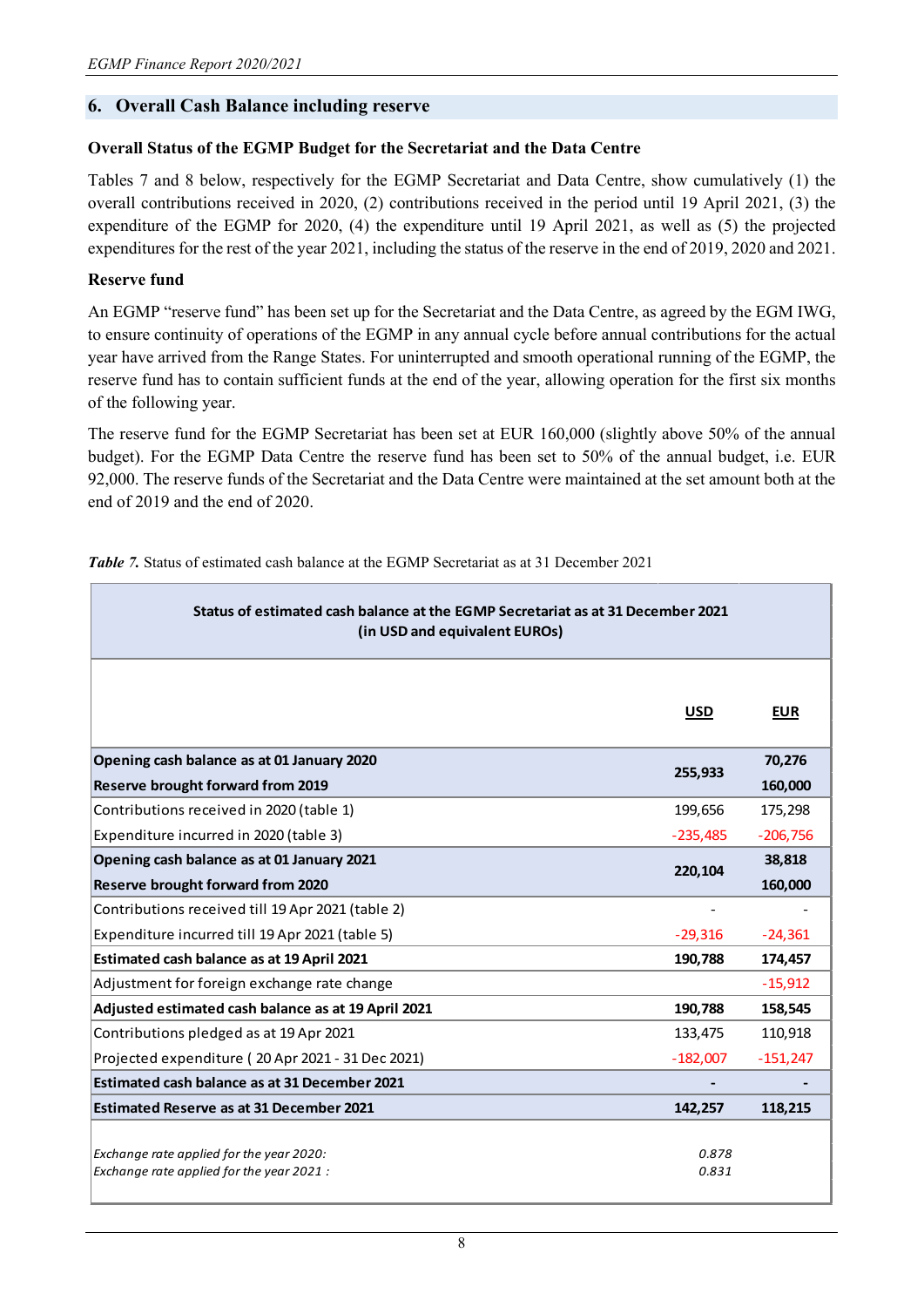## **6. Overall Cash Balance including reserve**

## **Overall Status of the EGMP Budget for the Secretariat and the Data Centre**

Tables 7 and 8 below, respectively for the EGMP Secretariat and Data Centre, show cumulatively (1) the overall contributions received in 2020, (2) contributions received in the period until 19 April 2021, (3) the expenditure of the EGMP for 2020, (4) the expenditure until 19 April 2021, as well as (5) the projected expenditures for the rest of the year 2021, including the status of the reserve in the end of 2019, 2020 and 2021.

## **Reserve fund**

An EGMP "reserve fund" has been set up for the Secretariat and the Data Centre, as agreed by the EGM IWG, to ensure continuity of operations of the EGMP in any annual cycle before annual contributions for the actual year have arrived from the Range States. For uninterrupted and smooth operational running of the EGMP, the reserve fund has to contain sufficient funds at the end of the year, allowing operation for the first six months of the following year.

The reserve fund for the EGMP Secretariat has been set at EUR 160,000 (slightly above 50% of the annual budget). For the EGMP Data Centre the reserve fund has been set to 50% of the annual budget, i.e. EUR 92,000. The reserve funds of the Secretariat and the Data Centre were maintained at the set amount both at the end of 2019 and the end of 2020.

| Status of estimated cash balance at the EGMP Secretariat as at 31 December 2021<br>(in USD and equivalent EUROs) |                |            |  |  |  |
|------------------------------------------------------------------------------------------------------------------|----------------|------------|--|--|--|
|                                                                                                                  | <b>USD</b>     | <b>EUR</b> |  |  |  |
| Opening cash balance as at 01 January 2020<br>255,933                                                            |                |            |  |  |  |
| <b>Reserve brought forward from 2019</b>                                                                         |                | 160,000    |  |  |  |
| Contributions received in 2020 (table 1)                                                                         | 199,656        | 175,298    |  |  |  |
| Expenditure incurred in 2020 (table 3)                                                                           | $-235,485$     | $-206,756$ |  |  |  |
| Opening cash balance as at 01 January 2021                                                                       | 220,104        | 38,818     |  |  |  |
| <b>Reserve brought forward from 2020</b>                                                                         |                | 160,000    |  |  |  |
| Contributions received till 19 Apr 2021 (table 2)                                                                |                |            |  |  |  |
| Expenditure incurred till 19 Apr 2021 (table 5)                                                                  | $-29,316$      | $-24,361$  |  |  |  |
| Estimated cash balance as at 19 April 2021                                                                       | 190,788        | 174,457    |  |  |  |
| Adjustment for foreign exchange rate change                                                                      |                | $-15,912$  |  |  |  |
| Adjusted estimated cash balance as at 19 April 2021                                                              | 190,788        | 158,545    |  |  |  |
| Contributions pledged as at 19 Apr 2021                                                                          | 133,475        | 110,918    |  |  |  |
| Projected expenditure (20 Apr 2021 - 31 Dec 2021)                                                                | $-182,007$     | $-151,247$ |  |  |  |
| Estimated cash balance as at 31 December 2021                                                                    |                |            |  |  |  |
| <b>Estimated Reserve as at 31 December 2021</b>                                                                  | 142,257        | 118,215    |  |  |  |
| Exchange rate applied for the year 2020:<br>Exchange rate applied for the year 2021:                             | 0.878<br>0.831 |            |  |  |  |

*Table 7.* Status of estimated cash balance at the EGMP Secretariat as at 31 December 2021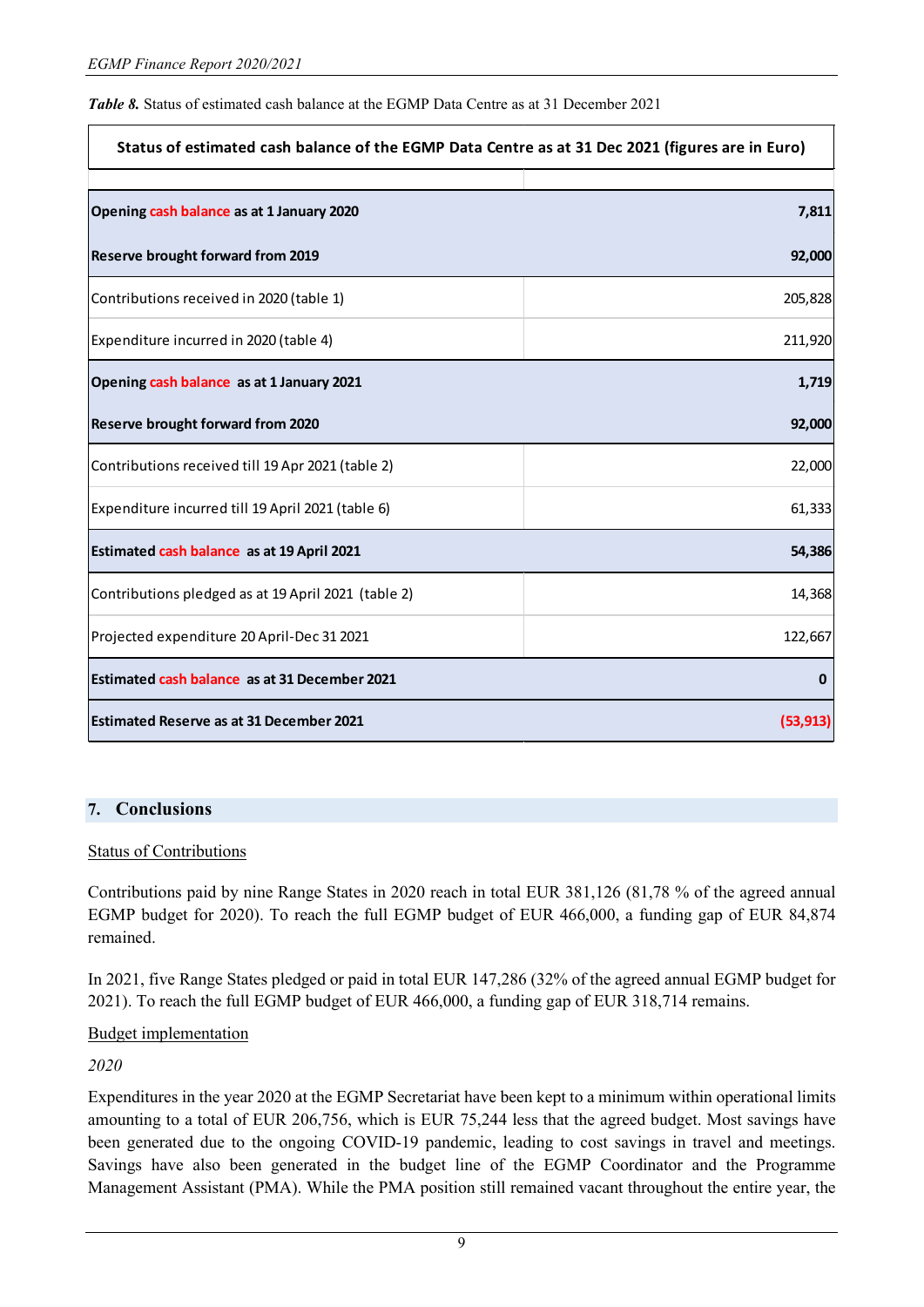*Table 8.* Status of estimated cash balance at the EGMP Data Centre as at 31 December 2021

| Status of estimated cash balance of the EGMP Data Centre as at 31 Dec 2021 (figures are in Euro) |           |  |  |  |
|--------------------------------------------------------------------------------------------------|-----------|--|--|--|
| Opening cash balance as at 1 January 2020                                                        | 7,811     |  |  |  |
| <b>Reserve brought forward from 2019</b>                                                         | 92,000    |  |  |  |
| Contributions received in 2020 (table 1)                                                         | 205,828   |  |  |  |
| Expenditure incurred in 2020 (table 4)                                                           | 211,920   |  |  |  |
| Opening cash balance as at 1 January 2021                                                        |           |  |  |  |
| <b>Reserve brought forward from 2020</b>                                                         | 92,000    |  |  |  |
| Contributions received till 19 Apr 2021 (table 2)                                                | 22,000    |  |  |  |
| Expenditure incurred till 19 April 2021 (table 6)                                                | 61,333    |  |  |  |
| Estimated cash balance as at 19 April 2021<br>54,386                                             |           |  |  |  |
| Contributions pledged as at 19 April 2021 (table 2)                                              | 14,368    |  |  |  |
| Projected expenditure 20 April-Dec 31 2021                                                       | 122,667   |  |  |  |
| Estimated cash balance as at 31 December 2021<br>$\mathbf 0$                                     |           |  |  |  |
| Estimated Reserve as at 31 December 2021                                                         | (53, 913) |  |  |  |

# **7. Conclusions**

### Status of Contributions

Contributions paid by nine Range States in 2020 reach in total EUR 381,126 (81,78 % of the agreed annual EGMP budget for 2020). To reach the full EGMP budget of EUR 466,000, a funding gap of EUR 84,874 remained.

In 2021, five Range States pledged or paid in total EUR 147,286 (32% of the agreed annual EGMP budget for 2021). To reach the full EGMP budget of EUR 466,000, a funding gap of EUR 318,714 remains.

## Budget implementation

*2020*

Expenditures in the year 2020 at the EGMP Secretariat have been kept to a minimum within operational limits amounting to a total of EUR 206,756, which is EUR 75,244 less that the agreed budget. Most savings have been generated due to the ongoing COVID-19 pandemic, leading to cost savings in travel and meetings. Savings have also been generated in the budget line of the EGMP Coordinator and the Programme Management Assistant (PMA). While the PMA position still remained vacant throughout the entire year, the